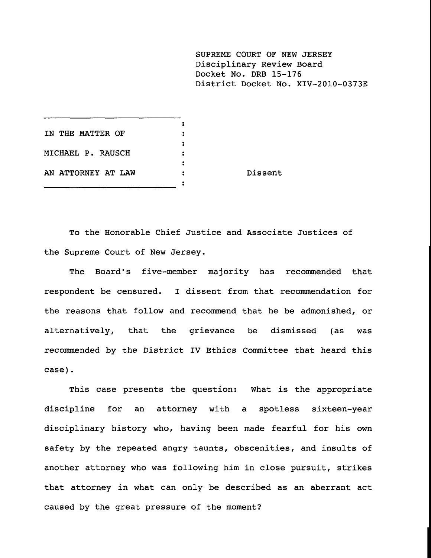**SUPREME COURT OF NEW JERSEY** Disciplinary Review Board Docket No. DRB 15-176 District Docket No. XIV-2010-0373E

| IN THE MATTER OF   |         |
|--------------------|---------|
|                    |         |
| MICHAEL P. RAUSCH  |         |
|                    |         |
| AN ATTORNEY AT LAW | Dissent |
|                    |         |

To the Honorable Chief Justice and Associate Justices of the Supreme Court of New Jersey.

The Board's five-member majority has recommended that respondent be censured. I dissent from that recommendation for the reasons that follow and recommend that he be admonished, or alternatively, that the grievance be dismissed (as was recommended by the District IV Ethics Committee that heard this **case).**

This case presents the question: What is the appropriate discipline for an attorney with a spotless sixteen-year disciplinary history who, having been made fearful for his own safety by the repeated angry taunts, obscenities, and insults of another attorney who was following him in close pursuit, strikes that attorney in what can only be described as an aberrant act caused by the great pressure of the moment?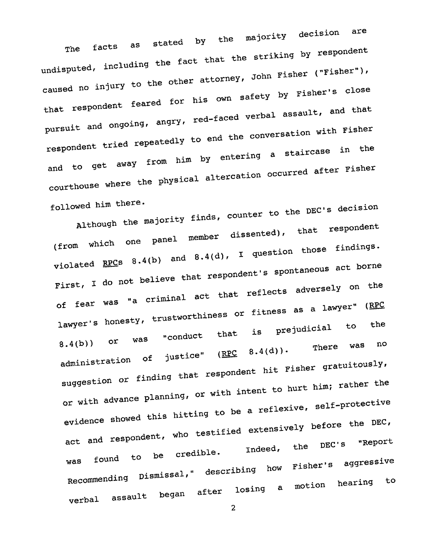facts as stated by the majority decision are undisputed, including the fact that the striking by respondent caused no injury to the other attorney, John Fisher ("Fisher"), that respondent feared for his own safety by Fisher's close pursuit and ongoing, angry, red-faced verbal assault, and that respondent tried repeatedly to end the conversation with Fisher and to get away from him by entering a staircase in the courthouse where the physical altercation occurred after Fisher followed him there.

Although the majority finds, counter to the DEC's decision (from which one panel member dissented), that respondent violated RPCs 8.4(b) and 8.4(d), I question those findings. First, I do not believe that respondent's spontaneous act borne of fear was "a criminal act that reflects adversely on the lawyer's honesty, trustworthiness or fitness as a lawyer" (RPC<br> $h^{2}$  is prejudicial to the  $8.4(b)$ ) or was "conduct that is prejudicial to the vas no administration of justice"  $(\underline{RFC} \cup \underline{S})$ suggestion or finding that respondent his first his first his first his first his first his first his first his or with advance planning, or with intent to hurt him; rather the evidence showed this hitting to be a reflexive, self-protective act and respondent, who testified extensively before the DEC,<br>Indeed, the DEC's "Report was found to be credible. Recommending Dismissal, verbal assault began describing how Fisher's after losing a motion Fisher's aggressive hearing to

2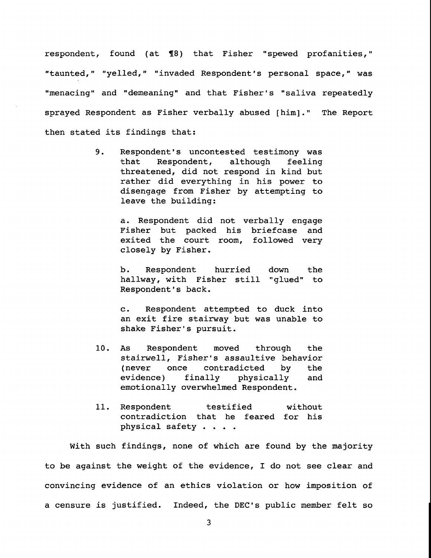respondent, found (at 78) that Fisher "spewed profanities," "taunted," "yelled," "invaded Respondent's personal space," was "menacing" and "demeaning" and that Fisher's "saliva repeatedly sprayed Respondent as Fisher verbally abused [him]." The Report then stated its findings that:

> $9.$ Respondent's uncontested testimony was that Respondent, although feeling threatened, did not respond in kind but rather did everything in his power to disengage from Fisher by attempting to leave the building:

> > a. Respondent did not verbally engage Fisher but packed his briefcase and exited the court room, followed very closely by Fisher.

> > b. Respondent hurried down the hallway, with Fisher still "glued" to Respondent's back.

> > c. Respondent attempted to duck into an exit fire stairway but was unable to shake Fisher's pursuit.

- i0. As Respondent moved through the stairwell, Fisher's assaultive behavior (never once contradicted by the evidence) finally physically and emotionally overwhelmed Respondent.
- 11. Respondent testified without contradiction that he feared for his physical safety ....

With such findings, none of which are found by the majority to be against the weight of the evidence, I do not see clear and convincing evidence of an ethics violation or how imposition of a censure is justified. Indeed, the DEC's public member felt so